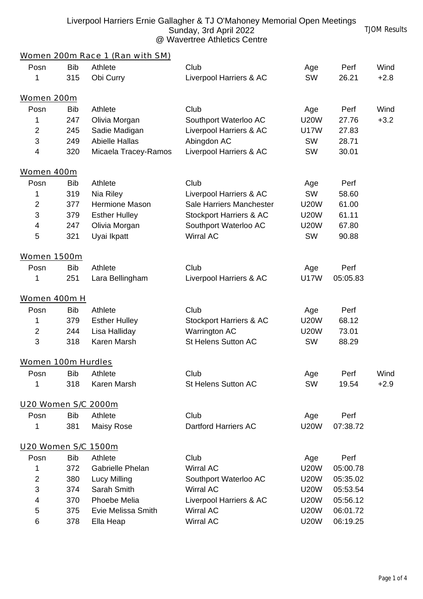| Liverpool Harriers Ernie Gallagher & TJ O'Mahoney Memorial Open Meetings |                     |
|--------------------------------------------------------------------------|---------------------|
| Sunday, 3rd April 2022                                                   | <b>TJOM Results</b> |
| @ Wavertree Athletics Centre                                             |                     |

|                     |            | Women 200m Race 1 (Ran with SM) |                                    |             |          |        |
|---------------------|------------|---------------------------------|------------------------------------|-------------|----------|--------|
| Posn                | <b>Bib</b> | Athlete                         | Club                               | Age         | Perf     | Wind   |
| 1                   | 315        | Obi Curry                       | Liverpool Harriers & AC            | <b>SW</b>   | 26.21    | $+2.8$ |
| Women 200m          |            |                                 |                                    |             |          |        |
| Posn                | <b>Bib</b> | Athlete                         | Club                               | Age         | Perf     | Wind   |
| 1                   | 247        | Olivia Morgan                   | Southport Waterloo AC              | <b>U20W</b> | 27.76    | $+3.2$ |
| $\overline{2}$      | 245        | Sadie Madigan                   | Liverpool Harriers & AC            | <b>U17W</b> | 27.83    |        |
| 3                   | 249        | <b>Abielle Hallas</b>           | Abingdon AC                        | <b>SW</b>   | 28.71    |        |
| 4                   | 320        | Micaela Tracey-Ramos            | Liverpool Harriers & AC            | <b>SW</b>   | 30.01    |        |
| Women 400m          |            |                                 |                                    |             |          |        |
| Posn                | <b>Bib</b> | Athlete                         | Club                               | Age         | Perf     |        |
| 1                   | 319        | Nia Riley                       | Liverpool Harriers & AC            | <b>SW</b>   | 58.60    |        |
| $\overline{2}$      | 377        | Hermione Mason                  | Sale Harriers Manchester           | <b>U20W</b> | 61.00    |        |
| 3                   | 379        | <b>Esther Hulley</b>            | <b>Stockport Harriers &amp; AC</b> | <b>U20W</b> | 61.11    |        |
| 4                   | 247        | Olivia Morgan                   | Southport Waterloo AC              | <b>U20W</b> | 67.80    |        |
| 5                   | 321        | Uyai Ikpatt                     | Wirral AC                          | <b>SW</b>   | 90.88    |        |
| <b>Women 1500m</b>  |            |                                 |                                    |             |          |        |
| Posn                | <b>Bib</b> | Athlete                         | Club                               | Age         | Perf     |        |
| 1                   | 251        | Lara Bellingham                 | Liverpool Harriers & AC            | <b>U17W</b> | 05:05.83 |        |
| Women 400m H        |            |                                 |                                    |             |          |        |
| Posn                | <b>Bib</b> | Athlete                         | Club                               | Age         | Perf     |        |
| 1                   | 379        | <b>Esther Hulley</b>            | Stockport Harriers & AC            | <b>U20W</b> | 68.12    |        |
| $\overline{c}$      | 244        | Lisa Halliday                   | Warrington AC                      | <b>U20W</b> | 73.01    |        |
| 3                   | 318        | Karen Marsh                     | St Helens Sutton AC                | <b>SW</b>   | 88.29    |        |
| Women 100m Hurdles  |            |                                 |                                    |             |          |        |
| Posn                | <b>Bib</b> | Athlete                         | Club                               | Age         | Perf     | Wind   |
| 1                   | 318        | Karen Marsh                     | St Helens Sutton AC                | <b>SW</b>   | 19.54    | $+2.9$ |
| U20 Women S/C 2000m |            |                                 |                                    |             |          |        |
| Posn                | <b>Bib</b> | Athlete                         | Club                               | Age         | Perf     |        |
| 1                   | 381        | Maisy Rose                      | <b>Dartford Harriers AC</b>        | <b>U20W</b> | 07:38.72 |        |
| U20 Women S/C 1500m |            |                                 |                                    |             |          |        |
| Posn                | <b>Bib</b> | Athlete                         | Club                               | Age         | Perf     |        |
| 1                   | 372        | Gabrielle Phelan                | Wirral AC                          | <b>U20W</b> | 05:00.78 |        |
| 2                   | 380        | Lucy Milling                    | Southport Waterloo AC              | <b>U20W</b> | 05:35.02 |        |
| 3                   | 374        | Sarah Smith                     | Wirral AC                          | <b>U20W</b> | 05:53.54 |        |
| 4                   | 370        | Phoebe Melia                    | Liverpool Harriers & AC            | <b>U20W</b> | 05:56.12 |        |
| 5                   | 375        | Evie Melissa Smith              | Wirral AC                          | <b>U20W</b> | 06:01.72 |        |
| 6                   | 378        | Ella Heap                       | Wirral AC                          | <b>U20W</b> | 06:19.25 |        |
|                     |            |                                 |                                    |             |          |        |

6 378 Ella Heap Wirral AC U20W 06:19.25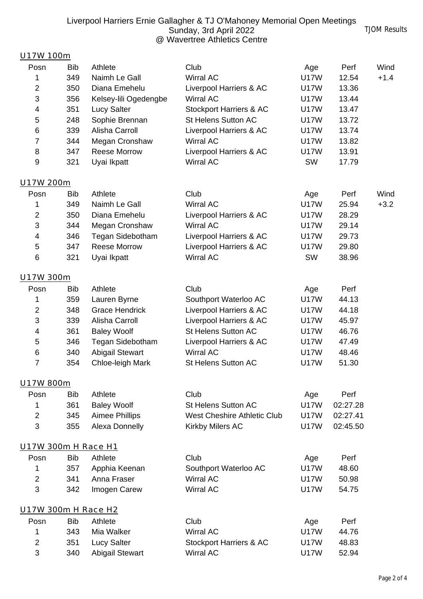## Liverpool Harriers Ernie Gallagher & TJ O'Mahoney Memorial Open Meetings Sunday, 3rd April 2022 @ Wavertree Athletics Centre

## U17W 100m

| Posn                | <b>Bib</b> | Athlete                               | Club                                           |                    | Perf           | Wind   |
|---------------------|------------|---------------------------------------|------------------------------------------------|--------------------|----------------|--------|
|                     |            |                                       | <b>Wirral AC</b>                               | Age<br><b>U17W</b> |                |        |
| 1<br>2              | 349<br>350 | Naimh Le Gall<br>Diana Emehelu        |                                                | <b>U17W</b>        | 12.54          | $+1.4$ |
| 3                   |            |                                       | Liverpool Harriers & AC<br><b>Wirral AC</b>    | <b>U17W</b>        | 13.36<br>13.44 |        |
|                     | 356<br>351 | Kelsey-lili Ogedengbe                 |                                                | <b>U17W</b>        | 13.47          |        |
| 4                   |            | <b>Lucy Salter</b>                    | Stockport Harriers & AC<br>St Helens Sutton AC |                    |                |        |
| 5                   | 248        | Sophie Brennan                        |                                                | U17W               | 13.72          |        |
| 6                   | 339        | Alisha Carroll                        | Liverpool Harriers & AC                        | <b>U17W</b>        | 13.74          |        |
| 7                   | 344        | Megan Cronshaw<br><b>Reese Morrow</b> | Wirral AC                                      | <b>U17W</b>        | 13.82          |        |
| 8<br>9              | 347        |                                       | Liverpool Harriers & AC                        | <b>U17W</b>        | 13.91          |        |
|                     | 321        | Uyai Ikpatt                           | Wirral AC                                      | <b>SW</b>          | 17.79          |        |
| U17W 200m           |            |                                       |                                                |                    |                |        |
| Posn                | <b>Bib</b> | Athlete                               | Club                                           | Age                | Perf           | Wind   |
| 1                   | 349        | Naimh Le Gall                         | <b>Wirral AC</b>                               | <b>U17W</b>        | 25.94          | $+3.2$ |
| $\overline{2}$      | 350        | Diana Emehelu                         | Liverpool Harriers & AC                        | <b>U17W</b>        | 28.29          |        |
| 3                   | 344        | Megan Cronshaw                        | Wirral AC                                      | <b>U17W</b>        | 29.14          |        |
| 4                   | 346        | Tegan Sidebotham                      | Liverpool Harriers & AC                        | <b>U17W</b>        | 29.73          |        |
| 5                   | 347        | <b>Reese Morrow</b>                   | Liverpool Harriers & AC                        | <b>U17W</b>        | 29.80          |        |
| 6                   | 321        | Uyai Ikpatt                           | Wirral AC                                      | <b>SW</b>          | 38.96          |        |
| U17W 300m           |            |                                       |                                                |                    |                |        |
| Posn                | <b>Bib</b> | Athlete                               | Club                                           | Age                | Perf           |        |
| 1                   | 359        | Lauren Byrne                          | Southport Waterloo AC                          | <b>U17W</b>        | 44.13          |        |
| 2                   | 348        | <b>Grace Hendrick</b>                 | Liverpool Harriers & AC                        | <b>U17W</b>        | 44.18          |        |
| 3                   | 339        | Alisha Carroll                        | Liverpool Harriers & AC                        | U17W               | 45.97          |        |
| 4                   | 361        | <b>Baley Woolf</b>                    | St Helens Sutton AC                            | <b>U17W</b>        | 46.76          |        |
| 5                   | 346        | Tegan Sidebotham                      | Liverpool Harriers & AC                        | <b>U17W</b>        | 47.49          |        |
| 6                   | 340        | <b>Abigail Stewart</b>                | Wirral AC                                      | <b>U17W</b>        | 48.46          |        |
| 7                   | 354        | Chloe-leigh Mark                      | St Helens Sutton AC                            | <b>U17W</b>        | 51.30          |        |
|                     |            |                                       |                                                |                    |                |        |
| U17W 800m           |            |                                       |                                                |                    |                |        |
| Posn                | <b>Bib</b> | Athlete                               | Club                                           | Age                | Perf           |        |
| 1                   | 361        | <b>Baley Woolf</b>                    | St Helens Sutton AC                            | <b>U17W</b>        | 02:27.28       |        |
| $\overline{2}$      | 345        | <b>Aimee Phillips</b>                 | West Cheshire Athletic Club                    | <b>U17W</b>        | 02:27.41       |        |
| 3                   | 355        | <b>Alexa Donnelly</b>                 | Kirkby Milers AC                               | <b>U17W</b>        | 02:45.50       |        |
| U17W 300m H Race H1 |            |                                       |                                                |                    |                |        |
| Posn                | <b>Bib</b> | Athlete                               | Club                                           | Age                | Perf           |        |
| 1                   | 357        | Apphia Keenan                         | Southport Waterloo AC                          | <b>U17W</b>        | 48.60          |        |
| $\overline{2}$      | 341        | Anna Fraser                           | <b>Wirral AC</b>                               | <b>U17W</b>        | 50.98          |        |
| 3                   | 342        | Imogen Carew                          | Wirral AC                                      | <b>U17W</b>        | 54.75          |        |
| U17W 300m H Race H2 |            |                                       |                                                |                    |                |        |
| Posn                | <b>Bib</b> | Athlete                               | Club                                           | Age                | Perf           |        |
| 1                   | 343        | Mia Walker                            | Wirral AC                                      | <b>U17W</b>        | 44.76          |        |
| $\overline{2}$      | 351        | <b>Lucy Salter</b>                    | Stockport Harriers & AC                        | <b>U17W</b>        | 48.83          |        |
| 3                   | 340        | <b>Abigail Stewart</b>                | Wirral AC                                      | <b>U17W</b>        | 52.94          |        |
|                     |            |                                       |                                                |                    |                |        |

TJOM Results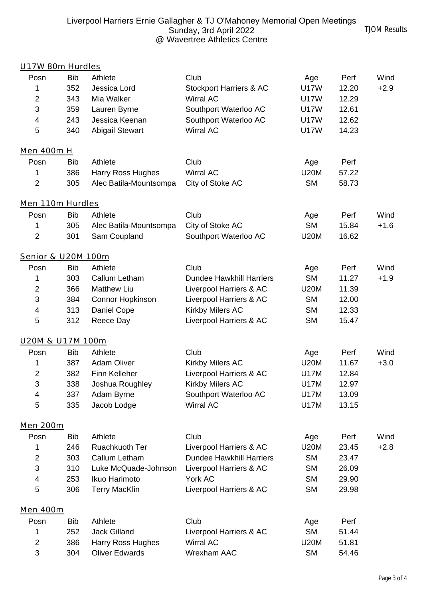| U17W 80m Hurdles   |            |                        |                                    |             |       |        |
|--------------------|------------|------------------------|------------------------------------|-------------|-------|--------|
| Posn               | <b>Bib</b> | Athlete                | Club                               | Age         | Perf  | Wind   |
| 1                  | 352        | Jessica Lord           | <b>Stockport Harriers &amp; AC</b> | <b>U17W</b> | 12.20 | $+2.9$ |
| $\overline{a}$     | 343        | Mia Walker             | Wirral AC                          | <b>U17W</b> | 12.29 |        |
| 3                  | 359        | Lauren Byrne           | Southport Waterloo AC              | <b>U17W</b> | 12.61 |        |
| 4                  | 243        | Jessica Keenan         | Southport Waterloo AC              | <b>U17W</b> | 12.62 |        |
| 5                  | 340        | <b>Abigail Stewart</b> | Wirral AC                          | <b>U17W</b> | 14.23 |        |
| <b>Men 400m H</b>  |            |                        |                                    |             |       |        |
| Posn               | <b>Bib</b> | Athlete                | Club                               | Age         | Perf  |        |
| 1                  | 386        | Harry Ross Hughes      | Wirral AC                          | <b>U20M</b> | 57.22 |        |
| $\overline{a}$     | 305        | Alec Batila-Mountsompa | City of Stoke AC                   | <b>SM</b>   | 58.73 |        |
| Men 110m Hurdles   |            |                        |                                    |             |       |        |
| Posn               | <b>Bib</b> | Athlete                | Club                               | Age         | Perf  | Wind   |
| 1                  | 305        | Alec Batila-Mountsompa | City of Stoke AC                   | <b>SM</b>   | 15.84 | $+1.6$ |
| $\overline{a}$     | 301        | Sam Coupland           | Southport Waterloo AC              | <b>U20M</b> | 16.62 |        |
| Senior & U20M 100m |            |                        |                                    |             |       |        |
| Posn               | <b>Bib</b> | Athlete                | Club                               | Age         | Perf  | Wind   |
| 1                  | 303        | Callum Letham          | <b>Dundee Hawkhill Harriers</b>    | <b>SM</b>   | 11.27 | $+1.9$ |
| $\overline{2}$     | 366        | <b>Matthew Liu</b>     | Liverpool Harriers & AC            | <b>U20M</b> | 11.39 |        |
| 3                  | 384        | Connor Hopkinson       | Liverpool Harriers & AC            | <b>SM</b>   | 12.00 |        |
| 4                  | 313        | Daniel Cope            | Kirkby Milers AC                   | <b>SM</b>   | 12.33 |        |
| 5                  | 312        | Reece Day              | Liverpool Harriers & AC            | <b>SM</b>   | 15.47 |        |
| U20M & U17M 100m   |            |                        |                                    |             |       |        |
| Posn               | <b>Bib</b> | Athlete                | Club                               | Age         | Perf  | Wind   |
| 1                  | 387        | <b>Adam Oliver</b>     | Kirkby Milers AC                   | <b>U20M</b> | 11.67 | $+3.0$ |
| 2                  | 382        | Finn Kelleher          | Liverpool Harriers & AC            | <b>U17M</b> | 12.84 |        |
| 3                  | 338        | Joshua Roughley        | Kirkby Milers AC                   | <b>U17M</b> | 12.97 |        |
| 4                  | 337        | Adam Byrne             | Southport Waterloo AC              | <b>U17M</b> | 13.09 |        |
| 5                  | 335        | Jacob Lodge            | Wirral AC                          | <b>U17M</b> | 13.15 |        |
| <b>Men 200m</b>    |            |                        |                                    |             |       |        |
| Posn               | <b>Bib</b> | Athlete                | Club                               | Age         | Perf  | Wind   |
| 1                  | 246        | Ruachkuoth Ter         | Liverpool Harriers & AC            | <b>U20M</b> | 23.45 | $+2.8$ |
| $\overline{2}$     | 303        | Callum Letham          | <b>Dundee Hawkhill Harriers</b>    | <b>SM</b>   | 23.47 |        |
| 3                  | 310        | Luke McQuade-Johnson   | Liverpool Harriers & AC            | <b>SM</b>   | 26.09 |        |
| 4                  | 253        | Ikuo Harimoto          | York AC                            | <b>SM</b>   | 29.90 |        |
| 5                  | 306        | <b>Terry MacKlin</b>   | Liverpool Harriers & AC            | <b>SM</b>   | 29.98 |        |
| Men 400m           |            |                        |                                    |             |       |        |
| Posn               | <b>Bib</b> | Athlete                | Club                               | Age         | Perf  |        |
| 1                  | 252        | <b>Jack Gilland</b>    | Liverpool Harriers & AC            | <b>SM</b>   | 51.44 |        |
| $\overline{2}$     | 386        | Harry Ross Hughes      | Wirral AC                          | <b>U20M</b> | 51.81 |        |
| 3                  | 304        | Oliver Edwards         | Wrexham AAC                        | <b>SM</b>   | 54.46 |        |